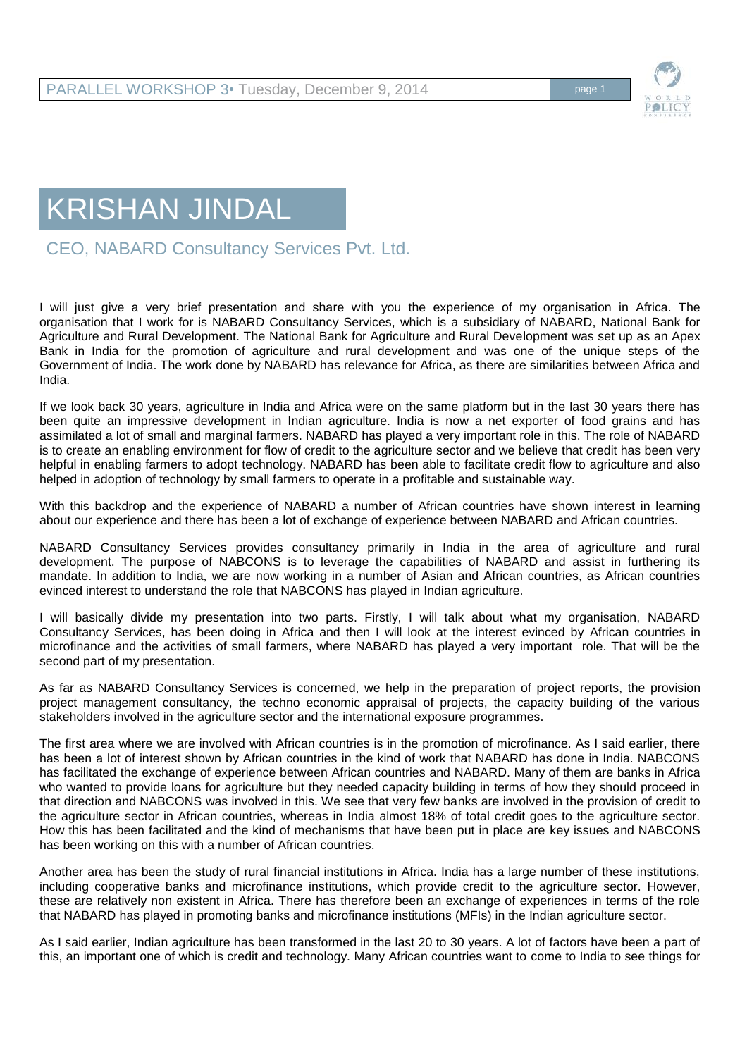

## KRISHAN JINDAL

CEO, NABARD Consultancy Services Pvt. Ltd.

I will just give a very brief presentation and share with you the experience of my organisation in Africa. The organisation that I work for is NABARD Consultancy Services, which is a subsidiary of NABARD, National Bank for Agriculture and Rural Development. The National Bank for Agriculture and Rural Development was set up as an Apex Bank in India for the promotion of agriculture and rural development and was one of the unique steps of the Government of India. The work done by NABARD has relevance for Africa, as there are similarities between Africa and India.

If we look back 30 years, agriculture in India and Africa were on the same platform but in the last 30 years there has been quite an impressive development in Indian agriculture. India is now a net exporter of food grains and has assimilated a lot of small and marginal farmers. NABARD has played a very important role in this. The role of NABARD is to create an enabling environment for flow of credit to the agriculture sector and we believe that credit has been very helpful in enabling farmers to adopt technology. NABARD has been able to facilitate credit flow to agriculture and also helped in adoption of technology by small farmers to operate in a profitable and sustainable way.

With this backdrop and the experience of NABARD a number of African countries have shown interest in learning about our experience and there has been a lot of exchange of experience between NABARD and African countries.

NABARD Consultancy Services provides consultancy primarily in India in the area of agriculture and rural development. The purpose of NABCONS is to leverage the capabilities of NABARD and assist in furthering its mandate. In addition to India, we are now working in a number of Asian and African countries, as African countries evinced interest to understand the role that NABCONS has played in Indian agriculture.

I will basically divide my presentation into two parts. Firstly, I will talk about what my organisation, NABARD Consultancy Services, has been doing in Africa and then I will look at the interest evinced by African countries in microfinance and the activities of small farmers, where NABARD has played a very important role. That will be the second part of my presentation.

As far as NABARD Consultancy Services is concerned, we help in the preparation of project reports, the provision project management consultancy, the techno economic appraisal of projects, the capacity building of the various stakeholders involved in the agriculture sector and the international exposure programmes.

The first area where we are involved with African countries is in the promotion of microfinance. As I said earlier, there has been a lot of interest shown by African countries in the kind of work that NABARD has done in India. NABCONS has facilitated the exchange of experience between African countries and NABARD. Many of them are banks in Africa who wanted to provide loans for agriculture but they needed capacity building in terms of how they should proceed in that direction and NABCONS was involved in this. We see that very few banks are involved in the provision of credit to the agriculture sector in African countries, whereas in India almost 18% of total credit goes to the agriculture sector. How this has been facilitated and the kind of mechanisms that have been put in place are key issues and NABCONS has been working on this with a number of African countries.

Another area has been the study of rural financial institutions in Africa. India has a large number of these institutions, including cooperative banks and microfinance institutions, which provide credit to the agriculture sector. However, these are relatively non existent in Africa. There has therefore been an exchange of experiences in terms of the role that NABARD has played in promoting banks and microfinance institutions (MFIs) in the Indian agriculture sector.

As I said earlier, Indian agriculture has been transformed in the last 20 to 30 years. A lot of factors have been a part of this, an important one of which is credit and technology. Many African countries want to come to India to see things for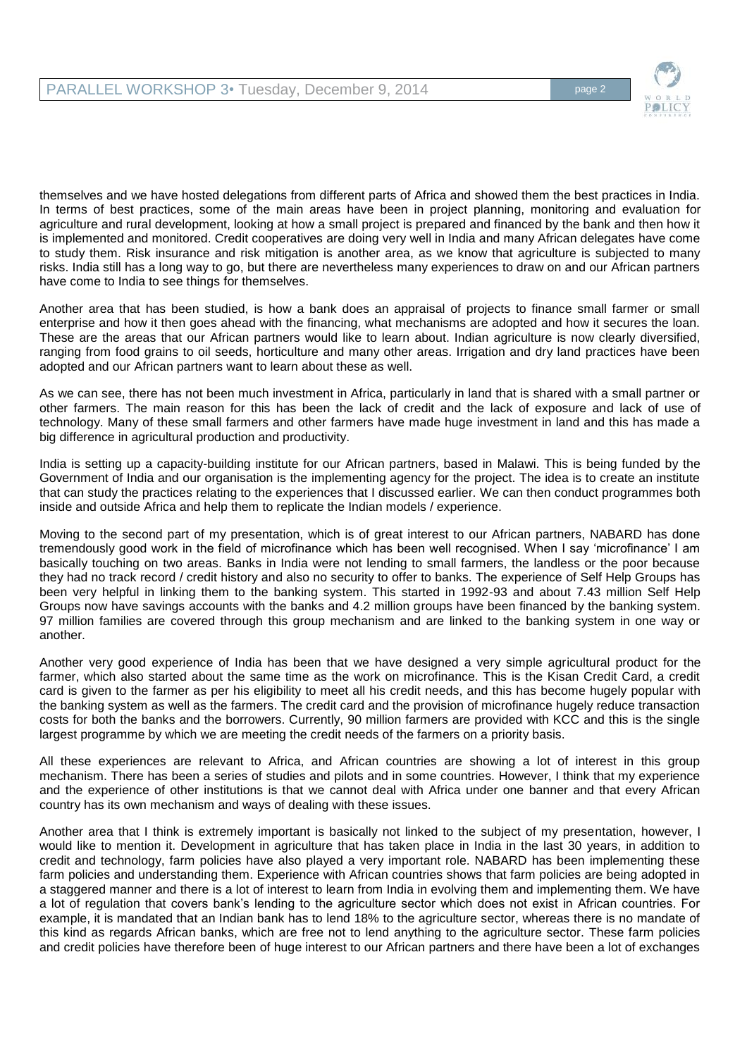

themselves and we have hosted delegations from different parts of Africa and showed them the best practices in India. In terms of best practices, some of the main areas have been in project planning, monitoring and evaluation for agriculture and rural development, looking at how a small project is prepared and financed by the bank and then how it is implemented and monitored. Credit cooperatives are doing very well in India and many African delegates have come to study them. Risk insurance and risk mitigation is another area, as we know that agriculture is subjected to many risks. India still has a long way to go, but there are nevertheless many experiences to draw on and our African partners have come to India to see things for themselves.

Another area that has been studied, is how a bank does an appraisal of projects to finance small farmer or small enterprise and how it then goes ahead with the financing, what mechanisms are adopted and how it secures the loan. These are the areas that our African partners would like to learn about. Indian agriculture is now clearly diversified, ranging from food grains to oil seeds, horticulture and many other areas. Irrigation and dry land practices have been adopted and our African partners want to learn about these as well.

As we can see, there has not been much investment in Africa, particularly in land that is shared with a small partner or other farmers. The main reason for this has been the lack of credit and the lack of exposure and lack of use of technology. Many of these small farmers and other farmers have made huge investment in land and this has made a big difference in agricultural production and productivity.

India is setting up a capacity-building institute for our African partners, based in Malawi. This is being funded by the Government of India and our organisation is the implementing agency for the project. The idea is to create an institute that can study the practices relating to the experiences that I discussed earlier. We can then conduct programmes both inside and outside Africa and help them to replicate the Indian models / experience.

Moving to the second part of my presentation, which is of great interest to our African partners, NABARD has done tremendously good work in the field of microfinance which has been well recognised. When I say 'microfinance' I am basically touching on two areas. Banks in India were not lending to small farmers, the landless or the poor because they had no track record / credit history and also no security to offer to banks. The experience of Self Help Groups has been very helpful in linking them to the banking system. This started in 1992-93 and about 7.43 million Self Help Groups now have savings accounts with the banks and 4.2 million groups have been financed by the banking system. 97 million families are covered through this group mechanism and are linked to the banking system in one way or another.

Another very good experience of India has been that we have designed a very simple agricultural product for the farmer, which also started about the same time as the work on microfinance. This is the Kisan Credit Card, a credit card is given to the farmer as per his eligibility to meet all his credit needs, and this has become hugely popular with the banking system as well as the farmers. The credit card and the provision of microfinance hugely reduce transaction costs for both the banks and the borrowers. Currently, 90 million farmers are provided with KCC and this is the single largest programme by which we are meeting the credit needs of the farmers on a priority basis.

All these experiences are relevant to Africa, and African countries are showing a lot of interest in this group mechanism. There has been a series of studies and pilots and in some countries. However, I think that my experience and the experience of other institutions is that we cannot deal with Africa under one banner and that every African country has its own mechanism and ways of dealing with these issues.

Another area that I think is extremely important is basically not linked to the subject of my presentation, however, I would like to mention it. Development in agriculture that has taken place in India in the last 30 years, in addition to credit and technology, farm policies have also played a very important role. NABARD has been implementing these farm policies and understanding them. Experience with African countries shows that farm policies are being adopted in a staggered manner and there is a lot of interest to learn from India in evolving them and implementing them. We have a lot of regulation that covers bank's lending to the agriculture sector which does not exist in African countries. For example, it is mandated that an Indian bank has to lend 18% to the agriculture sector, whereas there is no mandate of this kind as regards African banks, which are free not to lend anything to the agriculture sector. These farm policies and credit policies have therefore been of huge interest to our African partners and there have been a lot of exchanges